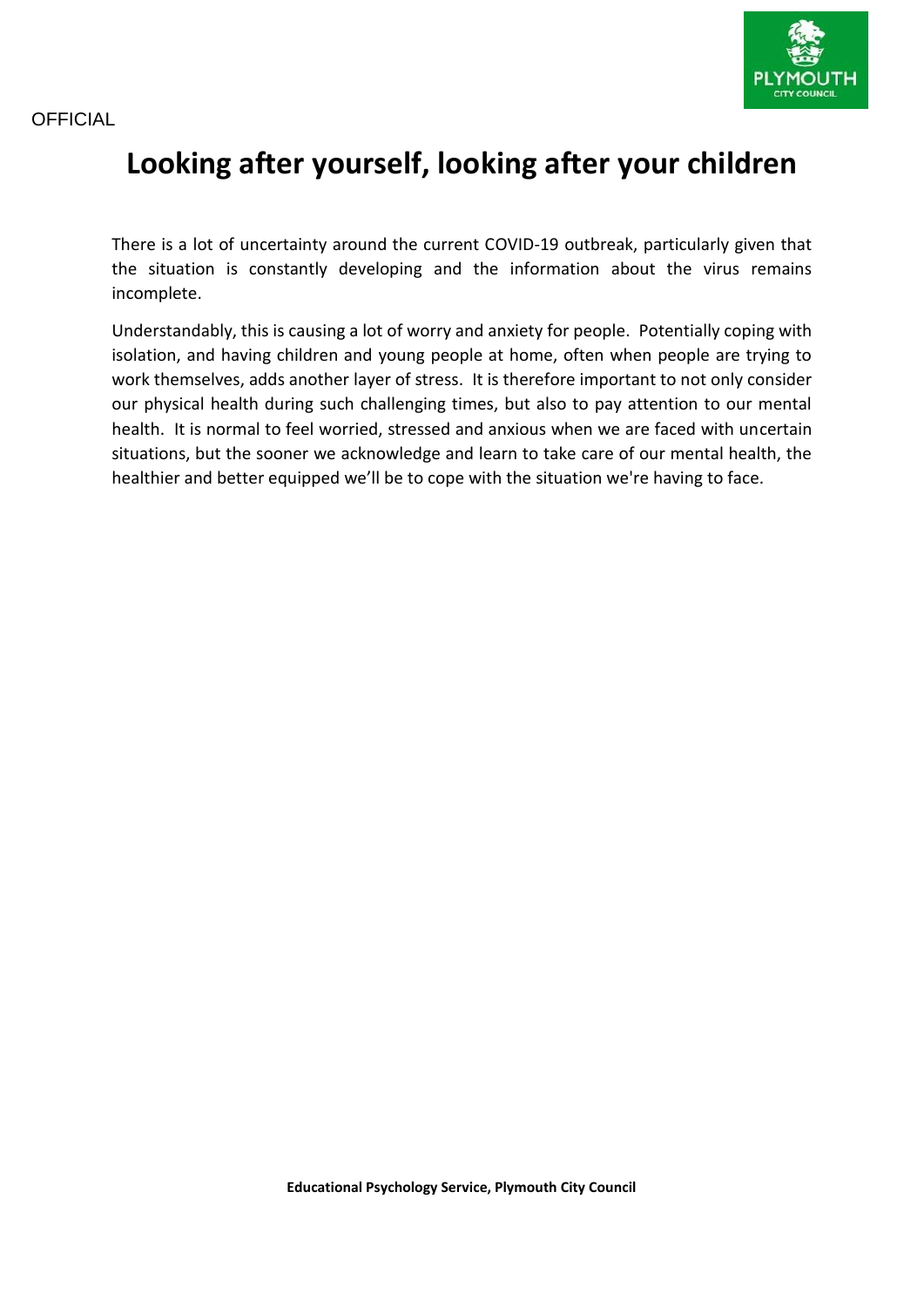



# **Looking after yourself, looking after your children**

There is a lot of uncertainty around the current COVID-19 outbreak, particularly given that the situation is constantly developing and the information about the virus remains incomplete.

Understandably, this is causing a lot of worry and anxiety for people. Potentially coping with isolation, and having children and young people at home, often when people are trying to work themselves, adds another layer of stress. It is therefore important to not only consider our physical health during such challenging times, but also to pay attention to our mental health. It is normal to feel worried, stressed and anxious when we are faced with uncertain situations, but the sooner we acknowledge and learn to take care of our mental health, the healthier and better equipped we'll be to cope with the situation we're having to face.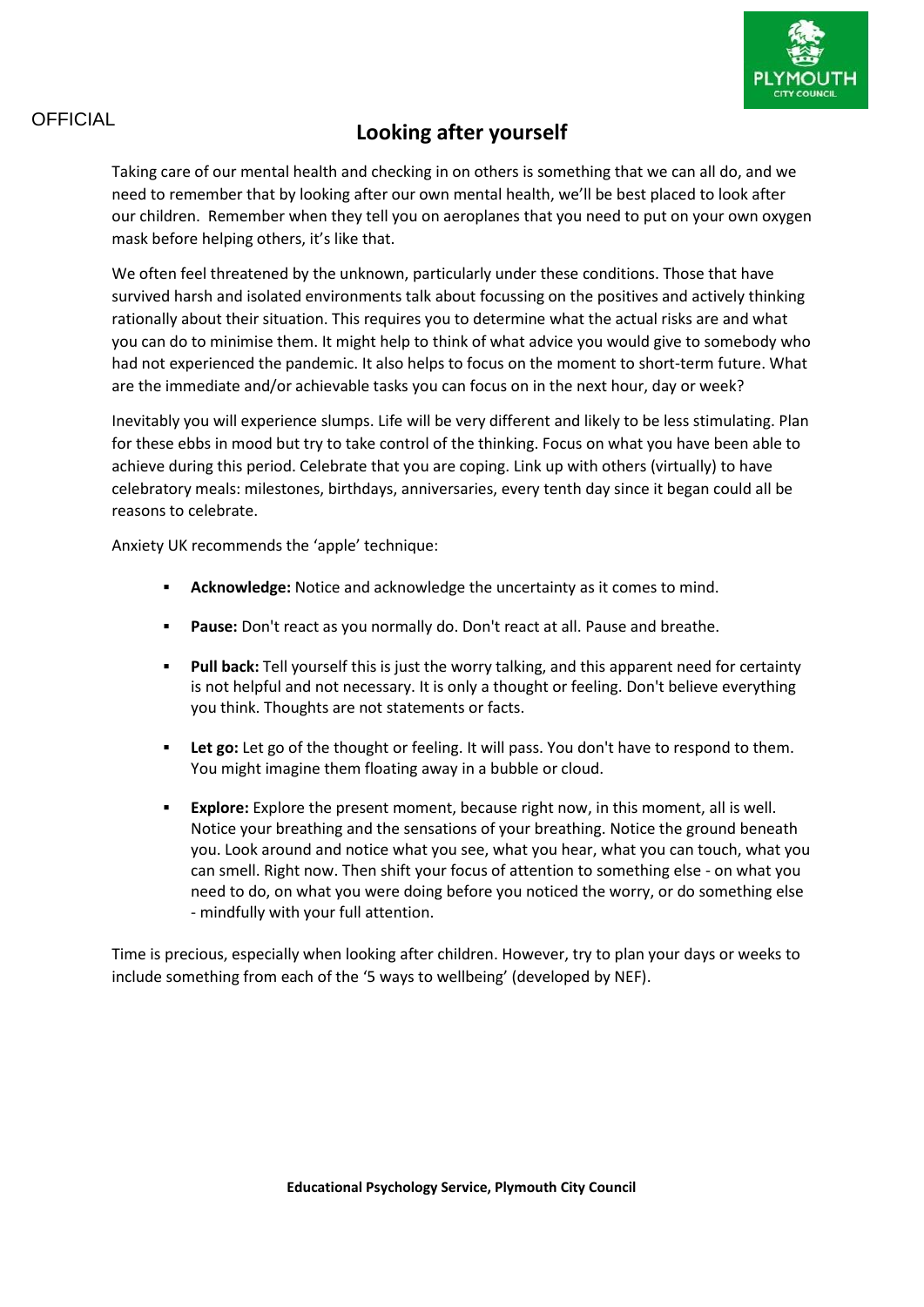

# OFFICIAL **Looking after yourself**

Taking care of our mental health and checking in on others is something that we can all do, and we need to remember that by looking after our own mental health, we'll be best placed to look after our children. Remember when they tell you on aeroplanes that you need to put on your own oxygen mask before helping others, it's like that.

We often feel threatened by the unknown, particularly under these conditions. Those that have survived harsh and isolated environments talk about focussing on the positives and actively thinking rationally about their situation. This requires you to determine what the actual risks are and what you can do to minimise them. It might help to think of what advice you would give to somebody who had not experienced the pandemic. It also helps to focus on the moment to short-term future. What are the immediate and/or achievable tasks you can focus on in the next hour, day or week?

Inevitably you will experience slumps. Life will be very different and likely to be less stimulating. Plan for these ebbs in mood but try to take control of the thinking. Focus on what you have been able to achieve during this period. Celebrate that you are coping. Link up with others (virtually) to have celebratory meals: milestones, birthdays, anniversaries, every tenth day since it began could all be reasons to celebrate.

Anxiety UK recommends the 'apple' technique:

- **Acknowledge:** Notice and acknowledge the uncertainty as it comes to mind.
- **Pause:** Don't react as you normally do. Don't react at all. Pause and breathe.
- **Pull back:** Tell yourself this is just the worry talking, and this apparent need for certainty is not helpful and not necessary. It is only a thought or feeling. Don't believe everything you think. Thoughts are not statements or facts.
- **Let go:** Let go of the thought or feeling. It will pass. You don't have to respond to them. You might imagine them floating away in a bubble or cloud.
- **Explore:** Explore the present moment, because right now, in this moment, all is well. Notice your breathing and the sensations of your breathing. Notice the ground beneath you. Look around and notice what you see, what you hear, what you can touch, what you can smell. Right now. Then shift your focus of attention to something else - on what you need to do, on what you were doing before you noticed the worry, or do something else - mindfully with your full attention.

Time is precious, especially when looking after children. However, try to plan your days or weeks to include something from each of the '5 ways to wellbeing' (developed by NEF).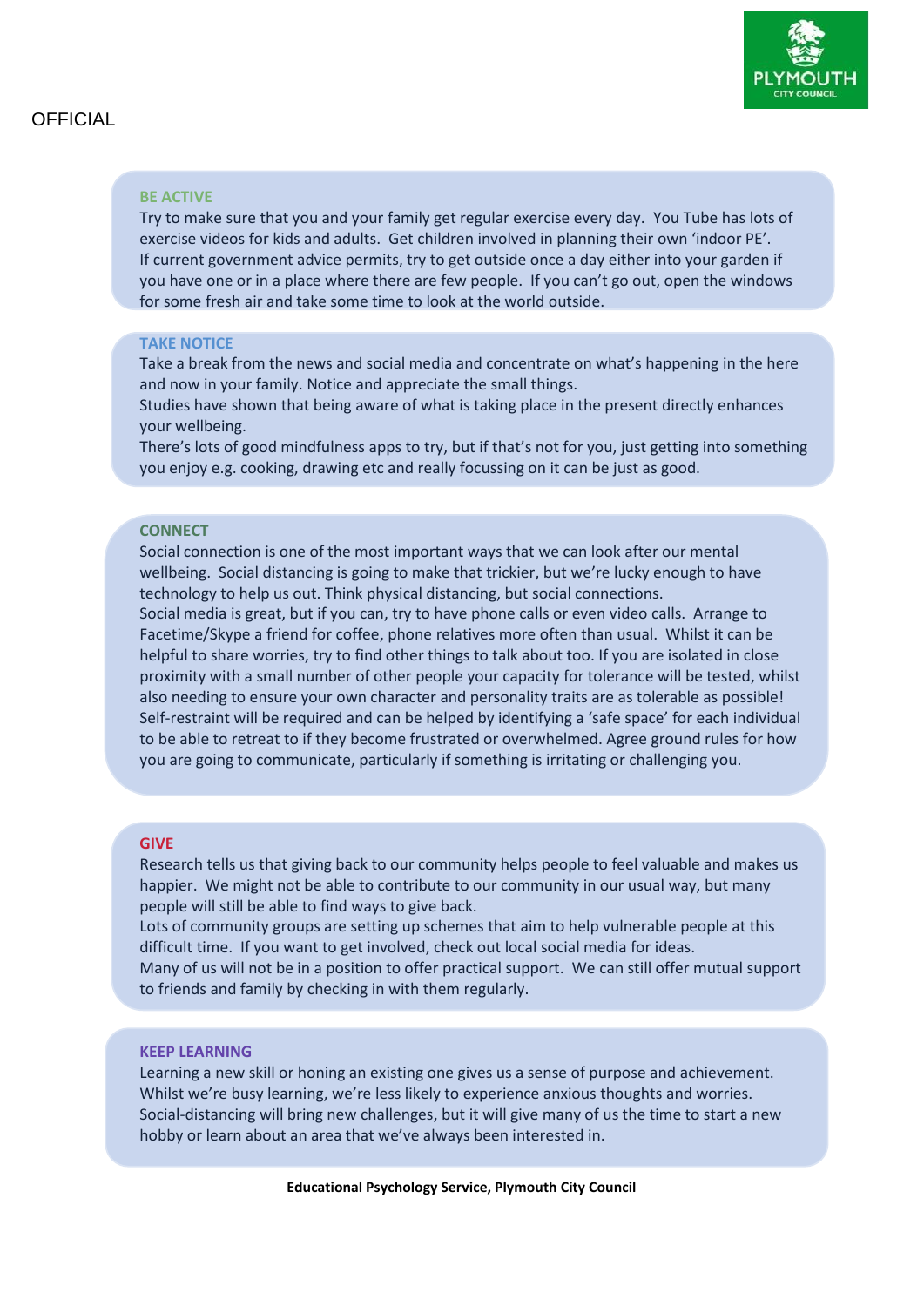

#### **BE ACTIVE**

Try to make sure that you and your family get regular exercise every day. You Tube has lots of exercise videos for kids and adults. Get children involved in planning their own 'indoor PE'. If current government advice permits, try to get outside once a day either into your garden if you have one or in a place where there are few people. If you can't go out, open the windows for some fresh air and take some time to look at the world outside.

#### **TAKE NOTICE**

Take a break from the news and social media and concentrate on what's happening in the here and now in your family. Notice and appreciate the small things.

Studies have shown that being aware of what is taking place in the present directly enhances your wellbeing.

There's lots of good mindfulness apps to try, but if that's not for you, just getting into something you enjoy e.g. cooking, drawing etc and really focussing on it can be just as good.

#### **CONNECT**

Social connection is one of the most important ways that we can look after our mental wellbeing. Social distancing is going to make that trickier, but we're lucky enough to have technology to help us out. Think physical distancing, but social connections.

Social media is great, but if you can, try to have phone calls or even video calls. Arrange to Facetime/Skype a friend for coffee, phone relatives more often than usual. Whilst it can be helpful to share worries, try to find other things to talk about too. If you are isolated in close proximity with a small number of other people your capacity for tolerance will be tested, whilst also needing to ensure your own character and personality traits are as tolerable as possible! Self-restraint will be required and can be helped by identifying a 'safe space' for each individual to be able to retreat to if they become frustrated or overwhelmed. Agree ground rules for how you are going to communicate, particularly if something is irritating or challenging you.

#### **GIVE**

Research tells us that giving back to our community helps people to feel valuable and makes us happier. We might not be able to contribute to our community in our usual way, but many people will still be able to find ways to give back.

Lots of community groups are setting up schemes that aim to help vulnerable people at this difficult time. If you want to get involved, check out local social media for ideas. Many of us will not be in a position to offer practical support. We can still offer mutual support to friends and family by checking in with them regularly.

#### **KEEP LEARNING**

Learning a new skill or honing an existing one gives us a sense of purpose and achievement. Whilst we're busy learning, we're less likely to experience anxious thoughts and worries. Social-distancing will bring new challenges, but it will give many of us the time to start a new hobby or learn about an area that we've always been interested in.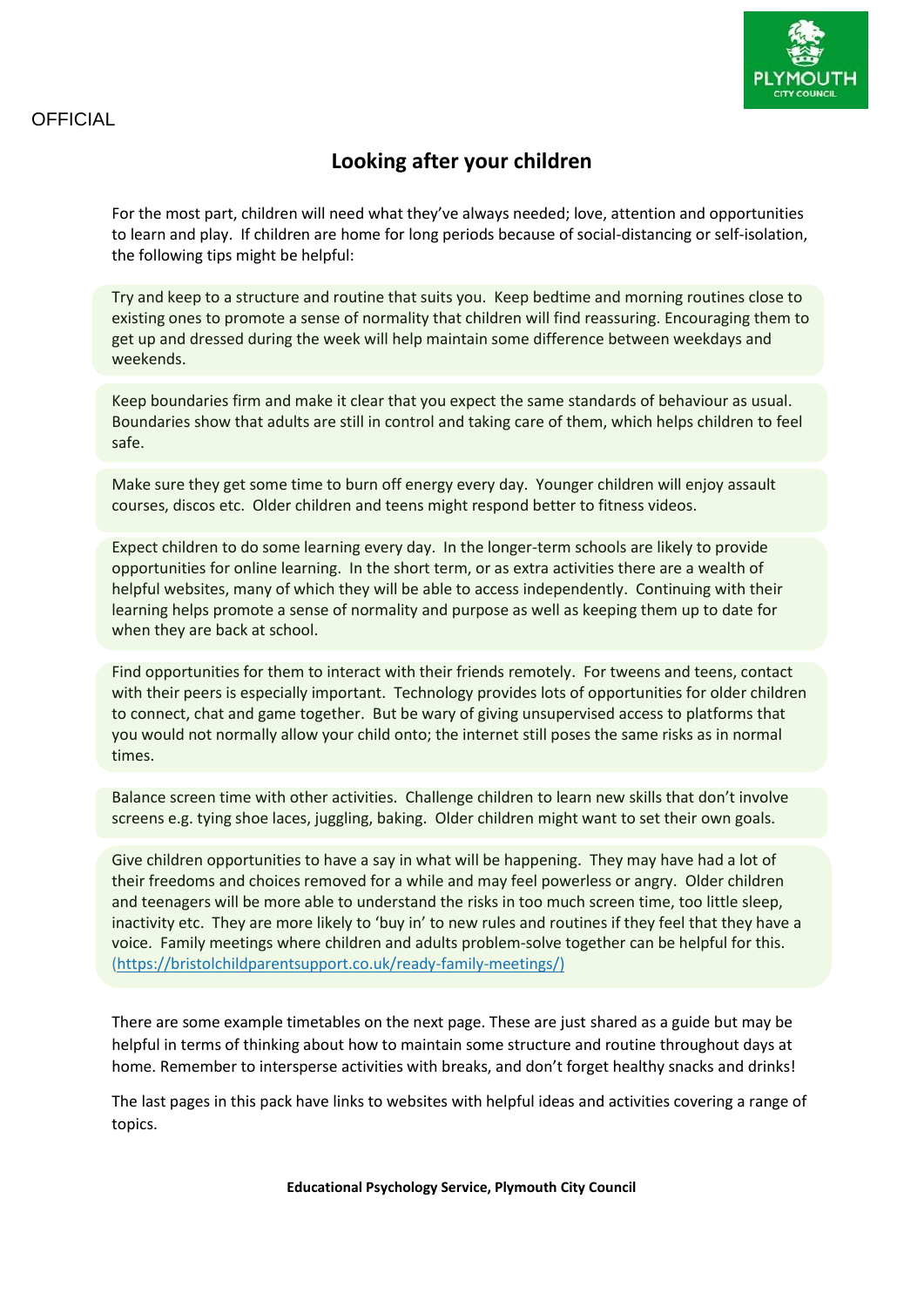

# **Looking after your children**

For the most part, children will need what they've always needed; love, attention and opportunities to learn and play. If children are home for long periods because of social-distancing or self-isolation, the following tips might be helpful:

Try and keep to a structure and routine that suits you. Keep bedtime and morning routines close to existing ones to promote a sense of normality that children will find reassuring. Encouraging them to get up and dressed during the week will help maintain some difference between weekdays and weekends.

Keep boundaries firm and make it clear that you expect the same standards of behaviour as usual. Boundaries show that adults are still in control and taking care of them, which helps children to feel safe.

Make sure they get some time to burn off energy every day. Younger children will enjoy assault courses, discos etc. Older children and teens might respond better to fitness videos.

Expect children to do some learning every day. In the longer-term schools are likely to provide opportunities for online learning. In the short term, or as extra activities there are a wealth of helpful websites, many of which they will be able to access independently. Continuing with their learning helps promote a sense of normality and purpose as well as keeping them up to date for when they are back at school.

Find opportunities for them to interact with their friends remotely. For tweens and teens, contact with their peers is especially important. Technology provides lots of opportunities for older children to connect, chat and game together. But be wary of giving unsupervised access to platforms that you would not normally allow your child onto; the internet still poses the same risks as in normal times.

Balance screen time with other activities. Challenge children to learn new skills that don't involve screens e.g. tying shoe laces, juggling, baking. Older children might want to set their own goals.

Give children opportunities to have a say in what will be happening. They may have had a lot of their freedoms and choices removed for a while and may feel powerless or angry. Older children and teenagers will be more able to understand the risks in too much screen time, too little sleep, inactivity etc. They are more likely to 'buy in' to new rules and routines if they feel that they have a voice. Family meetings where children and adults problem-solve together can be helpful for this. [\(https://bristolchildparentsupport.co.uk/ready-family-meetings/\)](https://bristolchildparentsupport.co.uk/ready-family-meetings/)

There are some example timetables on the next page. These are just shared as a guide but may be helpful in terms of thinking about how to maintain some structure and routine throughout days at home. Remember to intersperse activities with breaks, and don't forget healthy snacks and drinks!

The last pages in this pack have links to websites with helpful ideas and activities covering a range of topics.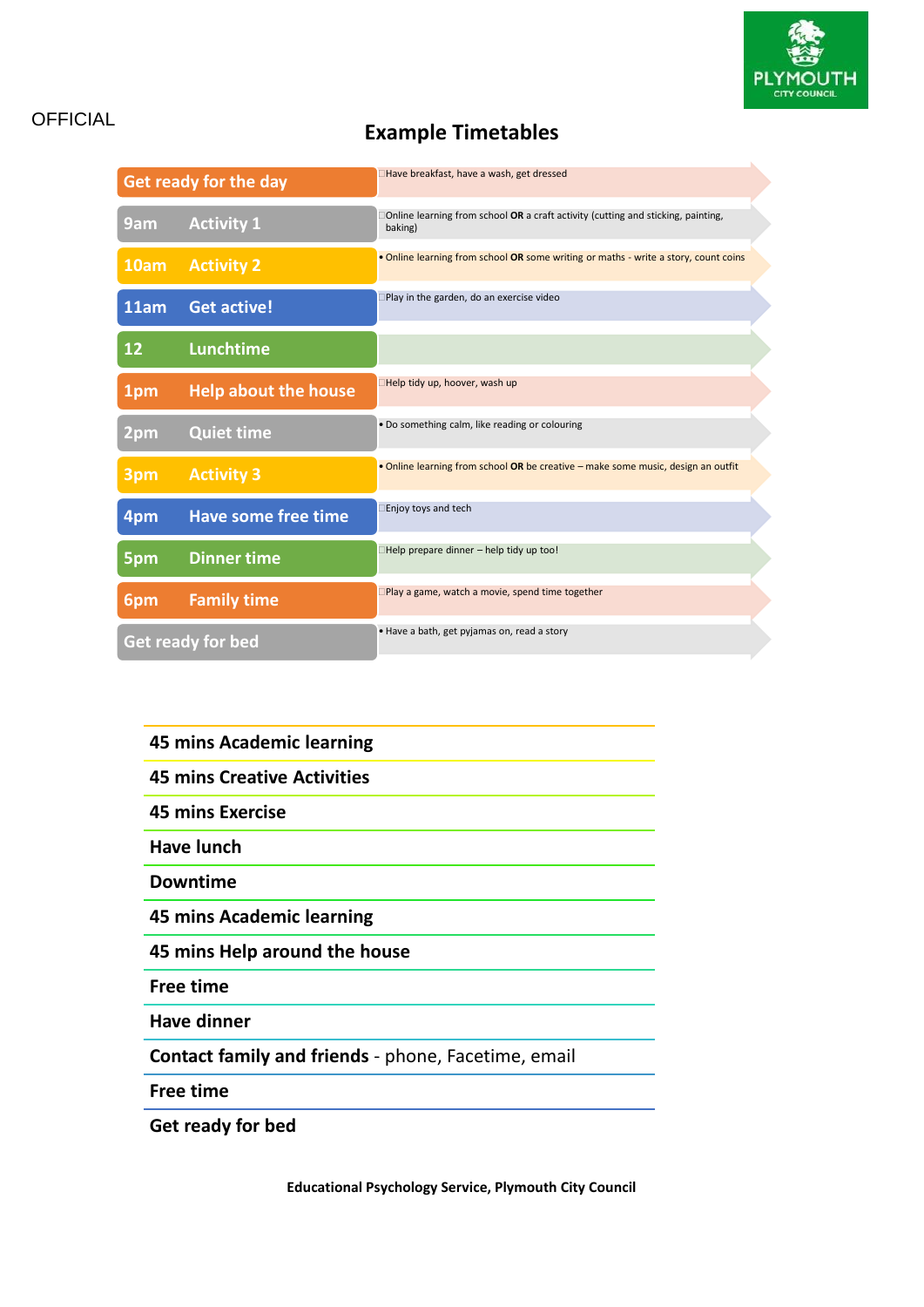

# OFFICIAL **Example Timetables**

| <b>Get ready for the day</b> |                             | □Have breakfast, have a wash, get dressed                                                          |
|------------------------------|-----------------------------|----------------------------------------------------------------------------------------------------|
| 9am                          | <b>Activity 1</b>           | $\Box$ Online learning from school OR a craft activity (cutting and sticking, painting,<br>baking) |
| 10am                         | <b>Activity 2</b>           | . Online learning from school OR some writing or maths - write a story, count coins                |
| 11am                         | <b>Get active!</b>          | Play in the garden, do an exercise video                                                           |
| 12                           | <b>Lunchtime</b>            |                                                                                                    |
| 1pm                          | <b>Help about the house</b> | Help tidy up, hoover, wash up                                                                      |
| 2pm                          | <b>Quiet time</b>           | . Do something calm, like reading or colouring                                                     |
| 3pm                          | <b>Activity 3</b>           | . Online learning from school OR be creative - make some music, design an outfit                   |
| 4pm                          | <b>Have some free time</b>  | Enjoy toys and tech                                                                                |
| 5pm                          | <b>Dinner time</b>          | $\Box$ Help prepare dinner - help tidy up too!                                                     |
| 6pm                          | <b>Family time</b>          | $\square$ Play a game, watch a movie, spend time together                                          |
| Get ready for bed            |                             | . Have a bath, get pyjamas on, read a story                                                        |

| <b>45 mins Academic learning</b>                           |  |  |
|------------------------------------------------------------|--|--|
| <b>45 mins Creative Activities</b>                         |  |  |
| <b>45 mins Exercise</b>                                    |  |  |
| Have lunch                                                 |  |  |
| <b>Downtime</b>                                            |  |  |
| 45 mins Academic learning                                  |  |  |
| 45 mins Help around the house                              |  |  |
| Free time                                                  |  |  |
| <b>Have dinner</b>                                         |  |  |
| <b>Contact family and friends</b> - phone, Facetime, email |  |  |
| <b>Free time</b>                                           |  |  |

**Get ready for bed**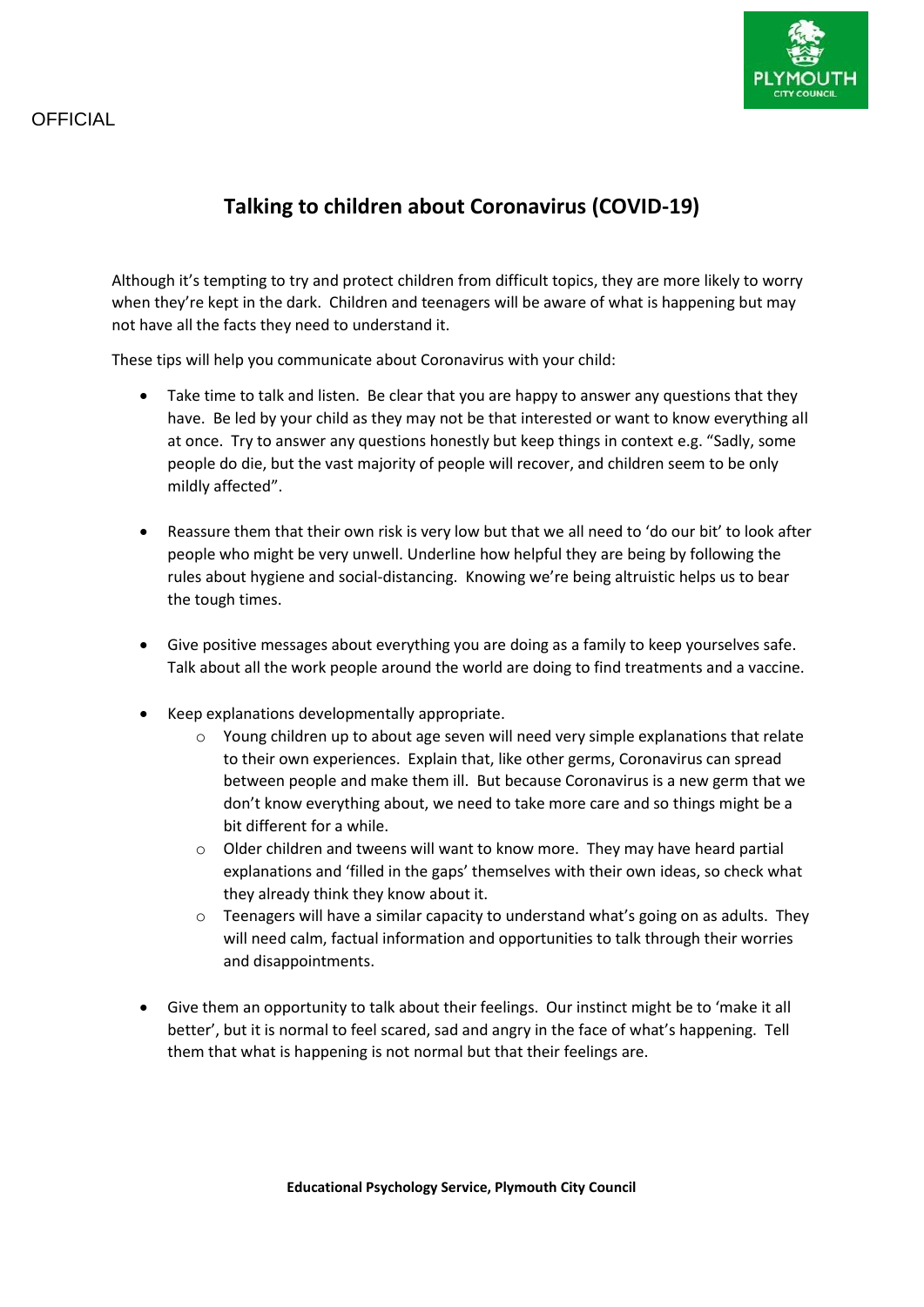# **Talking to children about Coronavirus (COVID-19)**

Although it's tempting to try and protect children from difficult topics, they are more likely to worry when they're kept in the dark. Children and teenagers will be aware of what is happening but may not have all the facts they need to understand it.

These tips will help you communicate about Coronavirus with your child:

- Take time to talk and listen. Be clear that you are happy to answer any questions that they have. Be led by your child as they may not be that interested or want to know everything all at once. Try to answer any questions honestly but keep things in context e.g. "Sadly, some people do die, but the vast majority of people will recover, and children seem to be only mildly affected".
- Reassure them that their own risk is very low but that we all need to 'do our bit' to look after people who might be very unwell. Underline how helpful they are being by following the rules about hygiene and social-distancing. Knowing we're being altruistic helps us to bear the tough times.
- Give positive messages about everything you are doing as a family to keep yourselves safe. Talk about all the work people around the world are doing to find treatments and a vaccine.
- Keep explanations developmentally appropriate.
	- $\circ$  Young children up to about age seven will need very simple explanations that relate to their own experiences. Explain that, like other germs, Coronavirus can spread between people and make them ill. But because Coronavirus is a new germ that we don't know everything about, we need to take more care and so things might be a bit different for a while.
	- $\circ$  Older children and tweens will want to know more. They may have heard partial explanations and 'filled in the gaps' themselves with their own ideas, so check what they already think they know about it.
	- $\circ$  Teenagers will have a similar capacity to understand what's going on as adults. They will need calm, factual information and opportunities to talk through their worries and disappointments.
- Give them an opportunity to talk about their feelings. Our instinct might be to 'make it all better', but it is normal to feel scared, sad and angry in the face of what's happening. Tell them that what is happening is not normal but that their feelings are.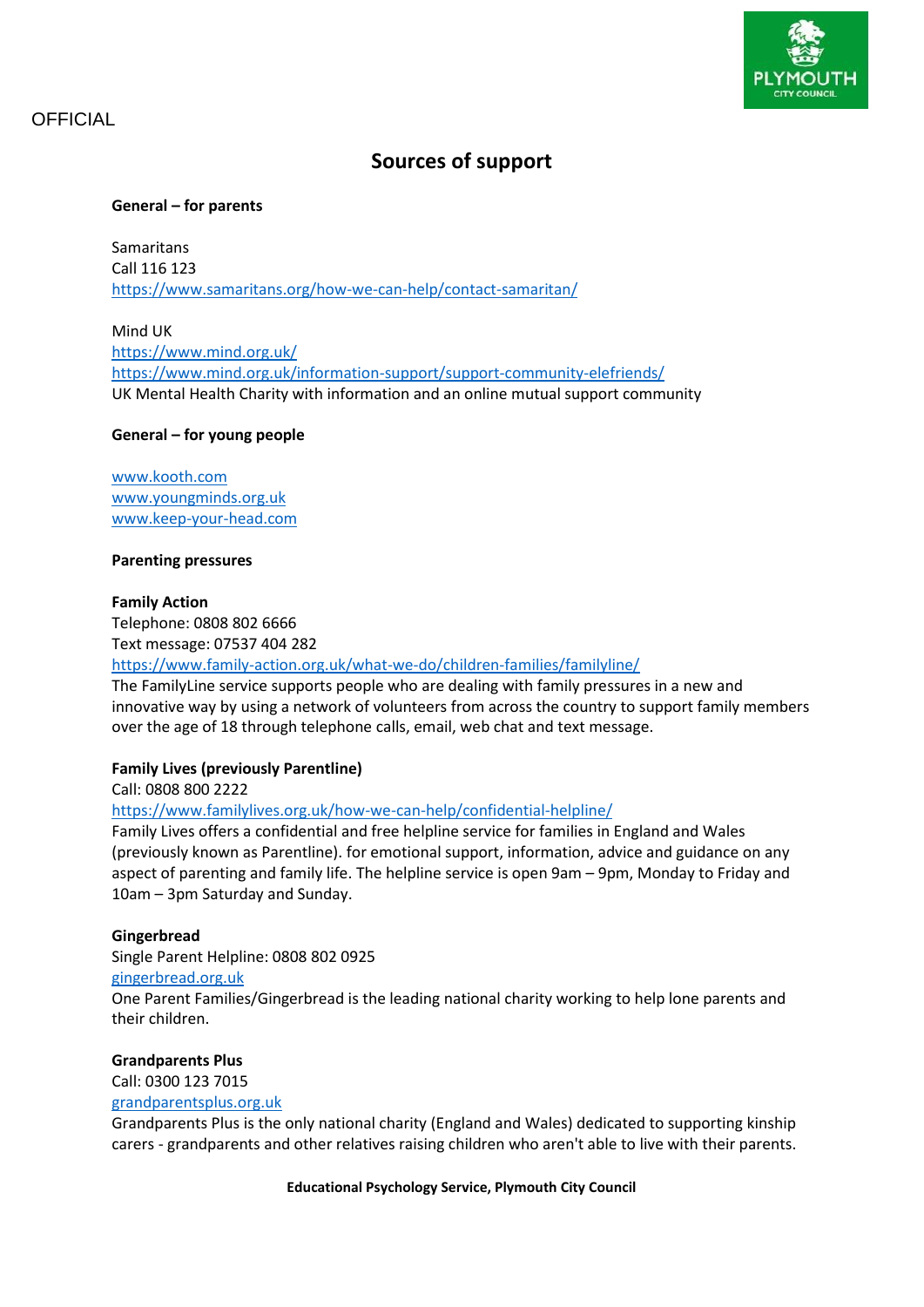

# **Sources of support**

#### **General – for parents**

**Samaritans** Call 116 123 <https://www.samaritans.org/how-we-can-help/contact-samaritan/>

Mind UK <https://www.mind.org.uk/> <https://www.mind.org.uk/information-support/support-community-elefriends/> UK Mental Health Charity with information and an online mutual support community

#### **General – for young people**

[www.kooth.com](http://www.kooth.com/) [www.youngminds.org.uk](http://www.youngminds.org.uk/) [www.keep-your-head.com](http://www.keep-your-head.com/)

#### **Parenting pressures**

#### **Family Action**

Telephone: 0808 802 6666 Text message: 07537 404 282

#### <https://www.family-action.org.uk/what-we-do/children-families/familyline/>

The FamilyLine service supports people who are dealing with family pressures in a new and innovative way by using a network o[f volunteers](https://www.family-action.org.uk/get-involved/volunteer/) from across the country to support family members over the age of 18 through telephone calls, email, web chat and text message.

#### **Family Lives (previously Parentline)**

Call: 0808 800 2222

#### <https://www.familylives.org.uk/how-we-can-help/confidential-helpline/>

Family Lives offers a confidential and free helpline service for families in England and Wales (previously known as Parentline). for emotional support, information, advice and guidance on any aspect of parenting and family life. The helpline service is open 9am – 9pm, Monday to Friday and 10am – 3pm Saturday and Sunday.

#### **Gingerbread**

Single Parent Helpline: 0808 802 0925

#### [gingerbread.org.uk](http://www.gingerbread.org.uk/)

One Parent Families/Gingerbread is the leading national charity working to help lone parents and their children.

#### **Grandparents Plus**

Call: 0300 123 7015 [grandparentsplus.org.uk](http://www.grandparentsplus.org.uk/)

Grandparents Plus is the only national charity (England and Wales) dedicated to supporting kinship carers - grandparents and other relatives raising children who aren't able to live with their parents.

**Educational Psychology Service, Plymouth City Council**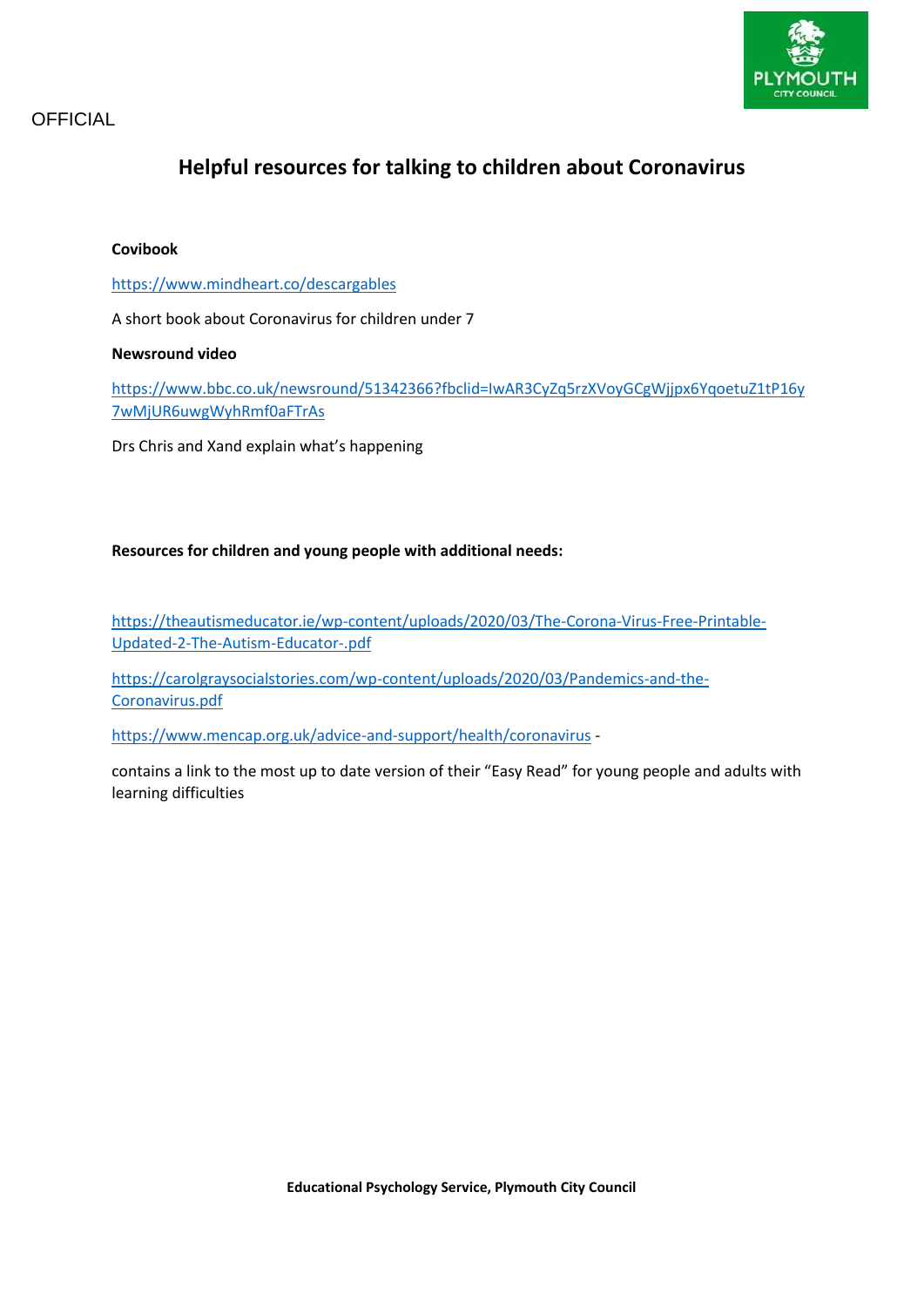

# **Helpful resources for talking to children about Coronavirus**

#### **Covibook**

#### <https://www.mindheart.co/descargables>

A short book about Coronavirus for children under 7

#### **Newsround video**

[https://www.bbc.co.uk/newsround/51342366?fbclid=IwAR3CyZq5rzXVoyGCgWjjpx6YqoetuZ1tP16y](https://www.bbc.co.uk/newsround/51342366?fbclid=IwAR3CyZq5rzXVoyGCgWjjpx6YqoetuZ1tP16y7wMjUR6uwgWyhRmf0aFTrAs) [7wMjUR6uwgWyhRmf0aFTrAs](https://www.bbc.co.uk/newsround/51342366?fbclid=IwAR3CyZq5rzXVoyGCgWjjpx6YqoetuZ1tP16y7wMjUR6uwgWyhRmf0aFTrAs)

Drs Chris and Xand explain what's happening

#### **Resources for children and young people with additional needs:**

[https://theautismeducator.ie/wp-content/uploads/2020/03/The-Corona-Virus-Free-Printable-](https://theautismeducator.ie/wp-content/uploads/2020/03/The-Corona-Virus-Free-Printable-Updated-2-The-Autism-Educator-.pdf)[Updated-2-The-Autism-Educator-.pdf](https://theautismeducator.ie/wp-content/uploads/2020/03/The-Corona-Virus-Free-Printable-Updated-2-The-Autism-Educator-.pdf)

[https://carolgraysocialstories.com/wp-content/uploads/2020/03/Pandemics-and-the-](https://carolgraysocialstories.com/wp-content/uploads/2020/03/Pandemics-and-the-Coronavirus.pdf)[Coronavirus.pdf](https://carolgraysocialstories.com/wp-content/uploads/2020/03/Pandemics-and-the-Coronavirus.pdf)

<https://www.mencap.org.uk/advice-and-support/health/coronavirus> -

contains a link to the most up to date version of their "Easy Read" for young people and adults with learning difficulties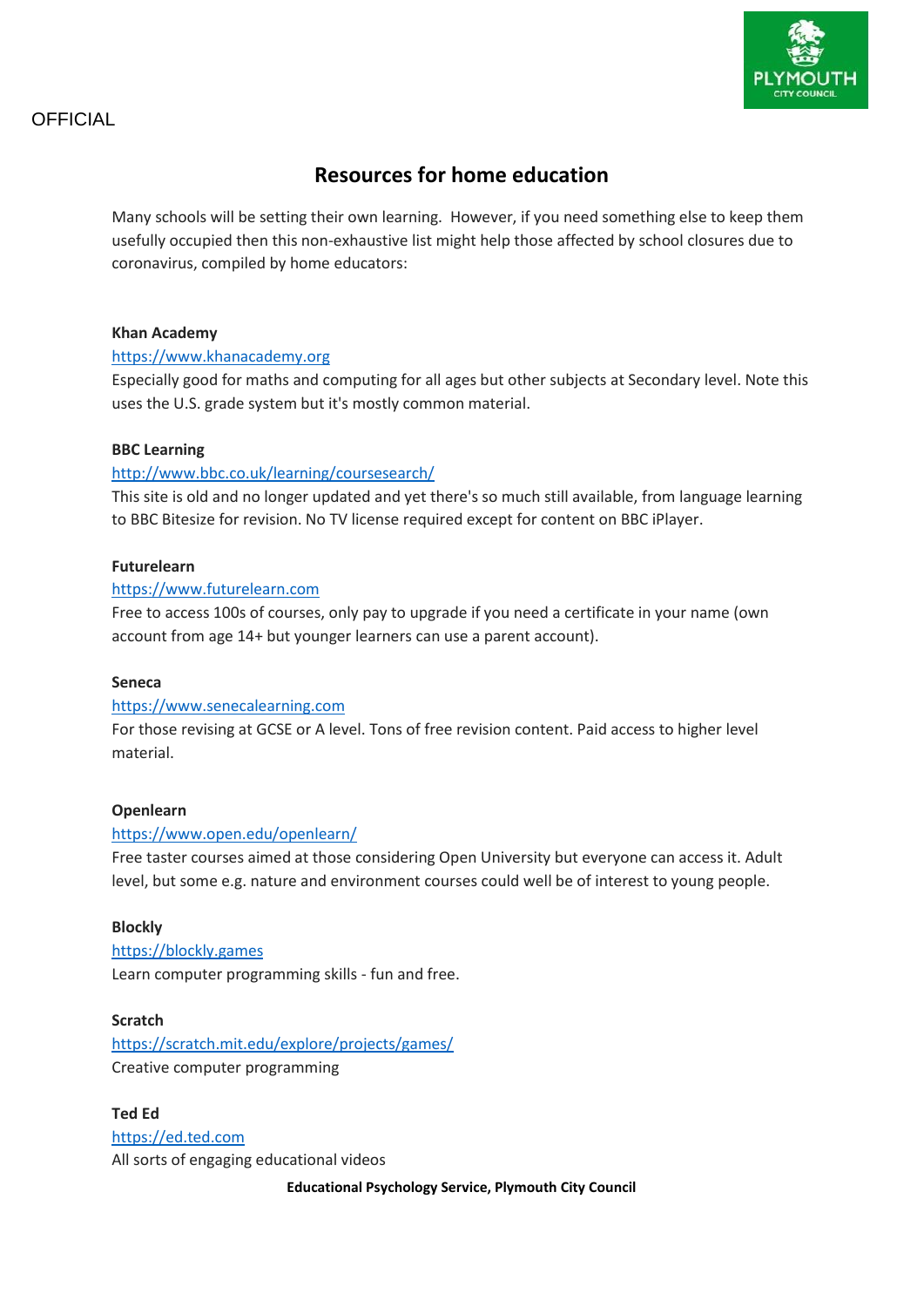

# **Resources for home education**

Many schools will be setting their own learning. However, if you need something else to keep them usefully occupied then this non-exhaustive list might help those affected by school closures due to coronavirus, compiled by home educators:

#### **Khan Academy**

#### [https://www.khanacademy.org](https://www.khanacademy.org/)

Especially good for maths and computing for all ages but other subjects at Secondary level. Note this uses the U.S. grade system but it's mostly common material.

#### **BBC Learning**

#### <http://www.bbc.co.uk/learning/coursesearch/>

This site is old and no longer updated and yet there's so much still available, from language learning to BBC Bitesize for revision. No TV license required except for content on BBC iPlayer.

#### **Futurelearn**

#### [https://www.futurelearn.com](https://www.futurelearn.com/)

Free to access 100s of courses, only pay to upgrade if you need a certificate in your name (own account from age 14+ but younger learners can use a parent account).

#### **Seneca**

#### [https://www.senecalearning.com](https://www.senecalearning.com/)

For those revising at GCSE or A level. Tons of free revision content. Paid access to higher level material.

#### **Openlearn**

#### <https://www.open.edu/openlearn/>

Free taster courses aimed at those considering Open University but everyone can access it. Adult level, but some e.g. nature and environment courses could well be of interest to young people.

#### **Blockly**

[https://blockly.games](https://blockly.games/) Learn computer programming skills - fun and free.

#### **Scratch**

<https://scratch.mit.edu/explore/projects/games/> Creative computer programming

**Ted Ed** [https://ed.ted.com](https://ed.ted.com/) All sorts of engaging educational videos

**Educational Psychology Service, Plymouth City Council**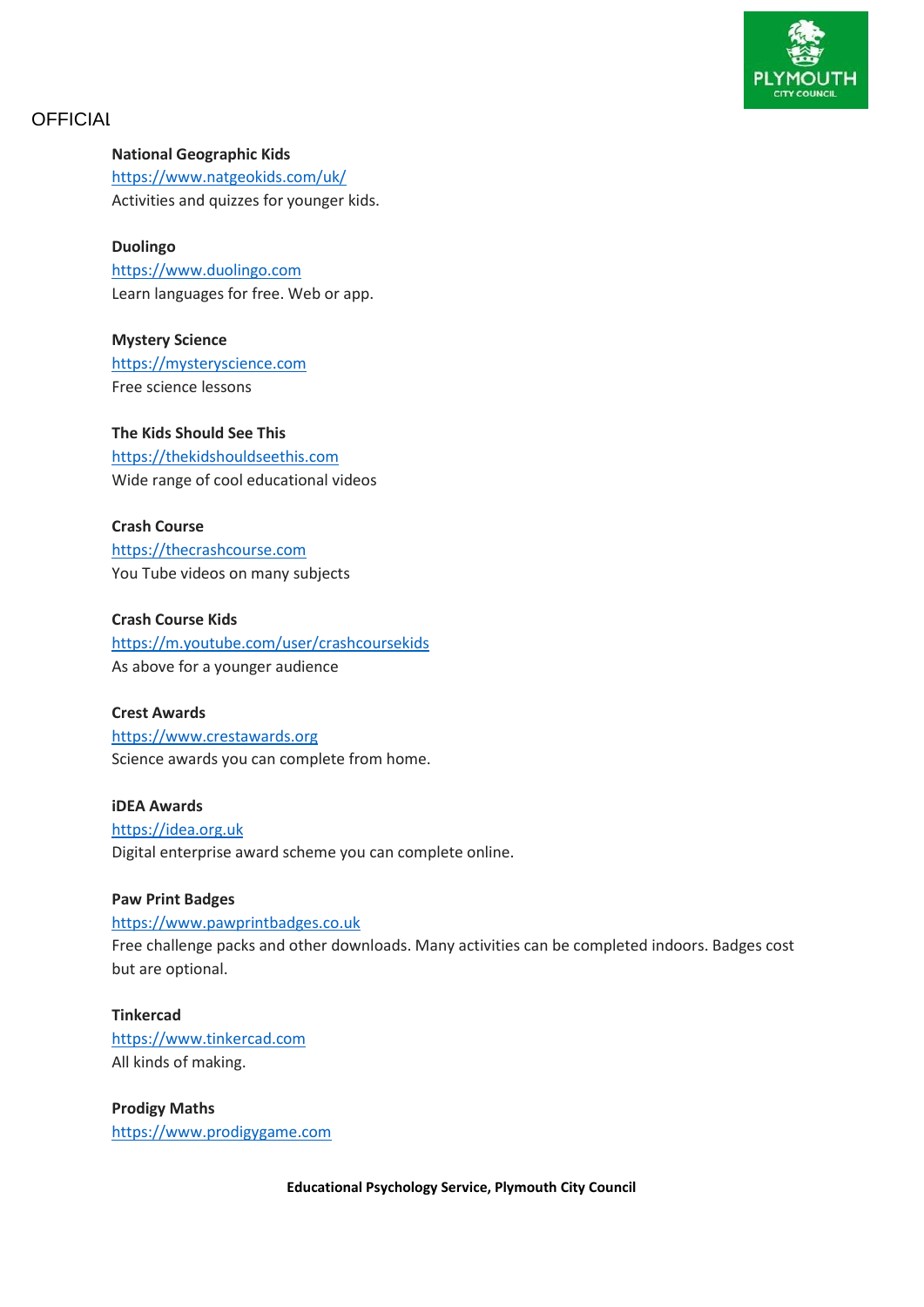

#### **National Geographic Kids**

<https://www.natgeokids.com/uk/> Activities and quizzes for younger kids.

#### **Duolingo**

[https://www.duolingo.com](https://www.duolingo.com/) Learn languages for free. Web or app.

**Mystery Science** [https://mysteryscience.com](https://mysteryscience.com/) Free science lessons

### **The Kids Should See This**

[https://thekidshouldseethis.com](https://thekidshouldseethis.com/) Wide range of cool educational videos

**Crash Course** [https://thecrashcourse.com](https://thecrashcourse.com/) You Tube videos on many subjects

### **Crash Course Kids**

<https://m.youtube.com/user/crashcoursekids> As above for a younger audience

#### **Crest Awards**

[https://www.crestawards.org](https://www.crestawards.org/) Science awards you can complete from home.

**iDEA Awards** [https://idea.org.uk](https://idea.org.uk/) Digital enterprise award scheme you can complete online.

#### **Paw Print Badges**

[https://www.pawprintbadges.co.uk](https://www.pawprintbadges.co.uk/)

Free challenge packs and other downloads. Many activities can be completed indoors. Badges cost but are optional.

#### **Tinkercad**

[https://www.tinkercad.com](https://www.tinkercad.com/) All kinds of making.

**Prodigy Maths** [https://www.prodigygame.com](https://www.prodigygame.com/)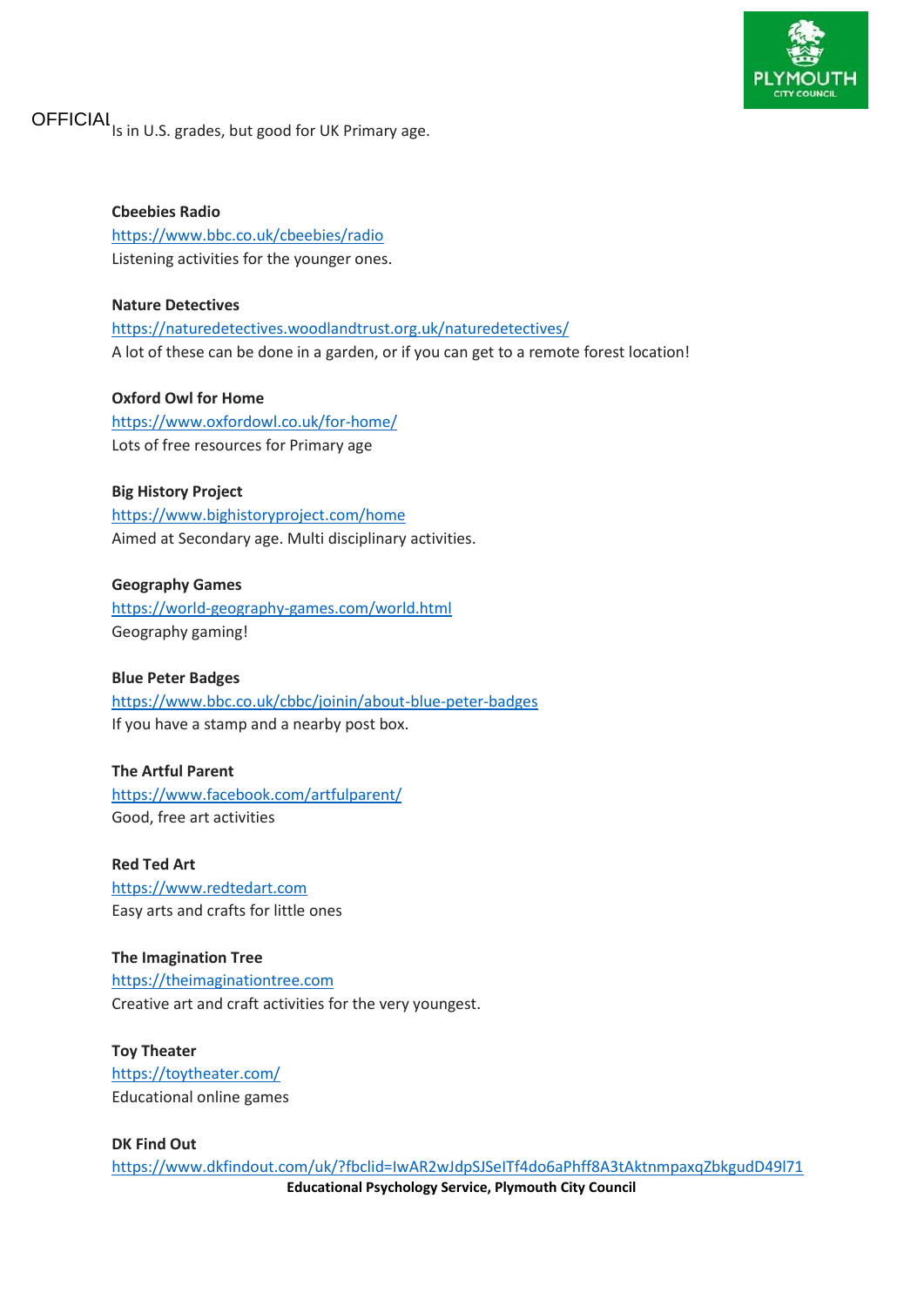

OFFICIAI Is in U.S. grades, but good for UK Primary age.

**Cbeebies Radio** <https://www.bbc.co.uk/cbeebies/radio> Listening activities for the younger ones.

**Nature Detectives** <https://naturedetectives.woodlandtrust.org.uk/naturedetectives/> A lot of these can be done in a garden, or if you can get to a remote forest location!

**Oxford Owl for Home** <https://www.oxfordowl.co.uk/for-home/> Lots of free resources for Primary age

### **Big History Project** <https://www.bighistoryproject.com/home> Aimed at Secondary age. Multi disciplinary activities.

**Geography Games** <https://world-geography-games.com/world.html> Geography gaming!

#### **Blue Peter Badges**

<https://www.bbc.co.uk/cbbc/joinin/about-blue-peter-badges> If you have a stamp and a nearby post box.

#### **The Artful Parent**

<https://www.facebook.com/artfulparent/> Good, free art activities

**Red Ted Art** [https://www.redtedart.com](https://www.redtedart.com/) Easy arts and crafts for little ones

**The Imagination Tree** [https://theimaginationtree.com](https://theimaginationtree.com/) Creative art and craft activities for the very youngest.

**Toy Theater** <https://toytheater.com/> Educational online games

**Educational Psychology Service, Plymouth City Council DK Find Out** [https://www.dkfindout.com/uk/?fbclid=IwAR2wJdpSJSeITf4do6aPhff8A3tAktnmpaxqZbkgudD49l71](https://www.dkfindout.com/uk/?fbclid=IwAR2wJdpSJSeITf4do6aPhff8A3tAktnmpaxqZbkgudD49l71ep8-sjXmrac)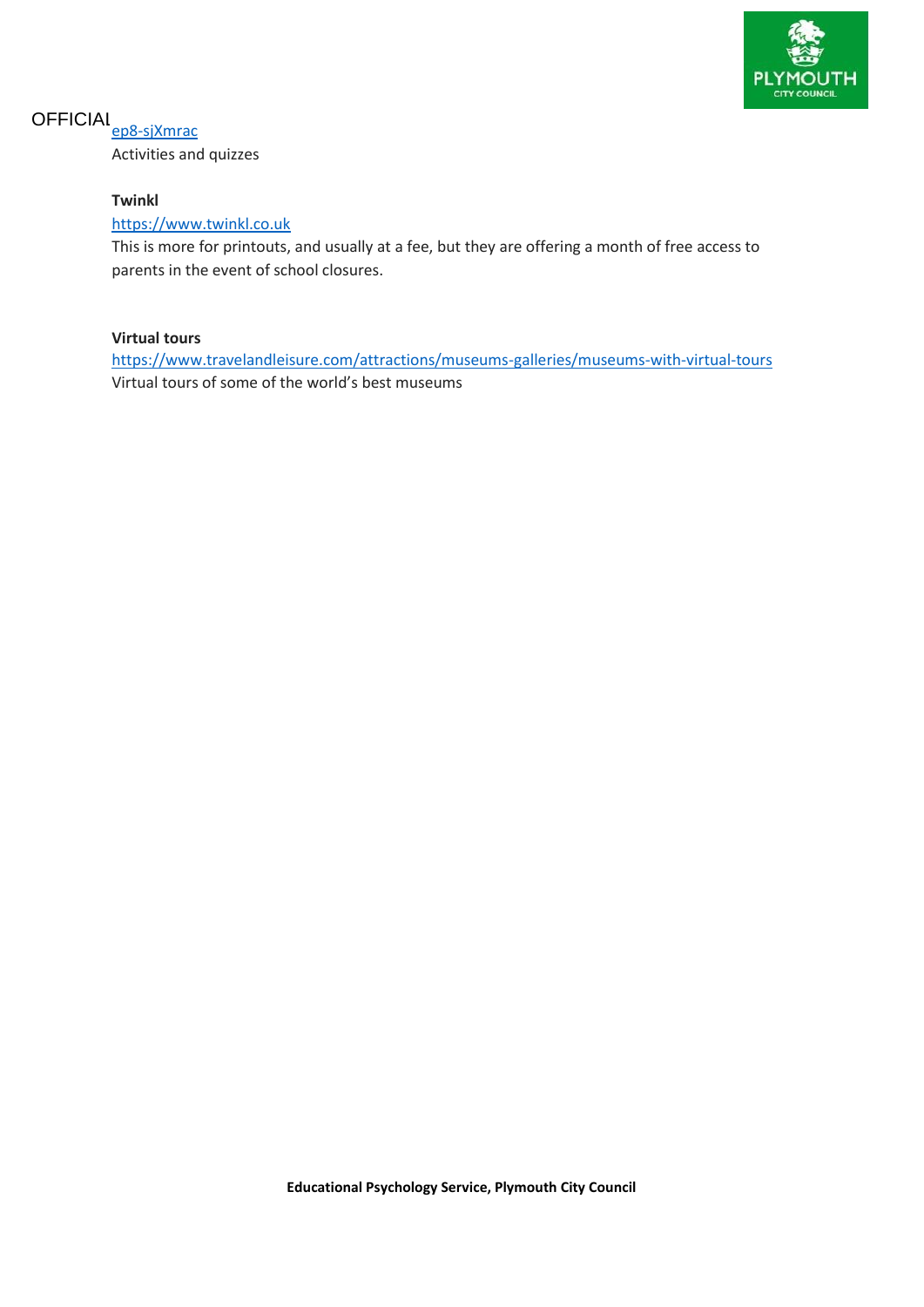

# OFFICIAL<sub>[ep8-sjXmrac](https://www.dkfindout.com/uk/?fbclid=IwAR2wJdpSJSeITf4do6aPhff8A3tAktnmpaxqZbkgudD49l71ep8-sjXmrac)</sub>

Activities and quizzes

### **Twinkl**

#### [https://www.twinkl.co.uk](https://www.twinkl.co.uk/)

This is more for printouts, and usually at a fee, but they are offering a month of free access to parents in the event of school closures.

### **Virtual tours**

<https://www.travelandleisure.com/attractions/museums-galleries/museums-with-virtual-tours> Virtual tours of some of the world's best museums